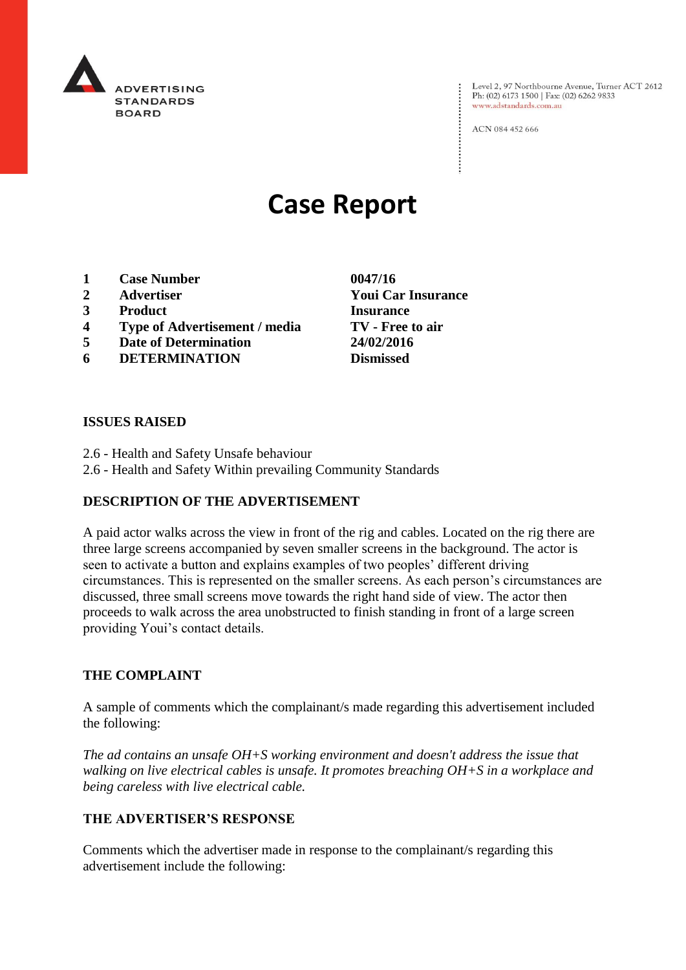

Level 2, 97 Northbourne Avenue, Turner ACT 2612<br>Ph: (02) 6173 1500 | Fax: (02) 6262 9833 www.adstandards.com.au

ACN 084 452 666

# **Case Report**

- **1 Case Number 0047/16**
- **2 Advertiser Youi Car Insurance**
- **3 Product Insurance**
- **4 Type of Advertisement / media TV - Free to air**
- **5 Date of Determination 24/02/2016**
- **6 DETERMINATION Dismissed**

**ISSUES RAISED**

- 2.6 Health and Safety Unsafe behaviour
- 2.6 Health and Safety Within prevailing Community Standards

## **DESCRIPTION OF THE ADVERTISEMENT**

A paid actor walks across the view in front of the rig and cables. Located on the rig there are three large screens accompanied by seven smaller screens in the background. The actor is seen to activate a button and explains examples of two peoples' different driving circumstances. This is represented on the smaller screens. As each person's circumstances are discussed, three small screens move towards the right hand side of view. The actor then proceeds to walk across the area unobstructed to finish standing in front of a large screen providing Youi's contact details.

## **THE COMPLAINT**

A sample of comments which the complainant/s made regarding this advertisement included the following:

*The ad contains an unsafe OH+S working environment and doesn't address the issue that walking on live electrical cables is unsafe. It promotes breaching OH+S in a workplace and being careless with live electrical cable.*

## **THE ADVERTISER'S RESPONSE**

Comments which the advertiser made in response to the complainant/s regarding this advertisement include the following: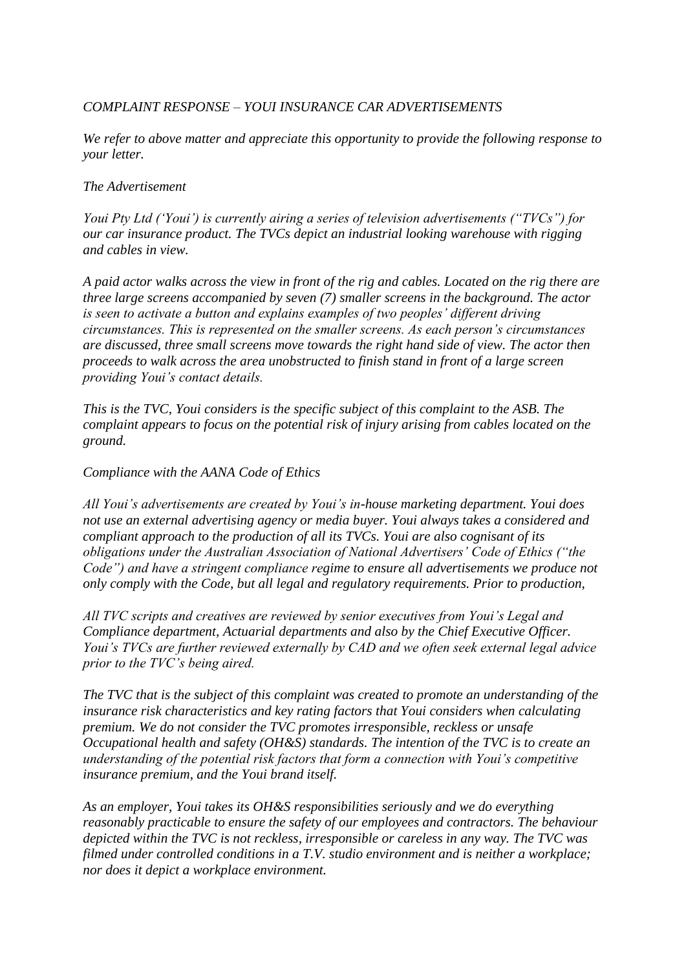## *COMPLAINT RESPONSE – YOUI INSURANCE CAR ADVERTISEMENTS*

*We refer to above matter and appreciate this opportunity to provide the following response to your letter.*

## *The Advertisement*

*Youi Pty Ltd ('Youi') is currently airing a series of television advertisements ("TVCs") for our car insurance product. The TVCs depict an industrial looking warehouse with rigging and cables in view.*

*A paid actor walks across the view in front of the rig and cables. Located on the rig there are three large screens accompanied by seven (7) smaller screens in the background. The actor is seen to activate a button and explains examples of two peoples' different driving circumstances. This is represented on the smaller screens. As each person's circumstances are discussed, three small screens move towards the right hand side of view. The actor then proceeds to walk across the area unobstructed to finish stand in front of a large screen providing Youi's contact details.*

*This is the TVC, Youi considers is the specific subject of this complaint to the ASB. The complaint appears to focus on the potential risk of injury arising from cables located on the ground.*

## *Compliance with the AANA Code of Ethics*

*All Youi's advertisements are created by Youi's in-house marketing department. Youi does not use an external advertising agency or media buyer. Youi always takes a considered and compliant approach to the production of all its TVCs. Youi are also cognisant of its obligations under the Australian Association of National Advertisers' Code of Ethics ("the Code") and have a stringent compliance regime to ensure all advertisements we produce not only comply with the Code, but all legal and regulatory requirements. Prior to production,*

*All TVC scripts and creatives are reviewed by senior executives from Youi's Legal and Compliance department, Actuarial departments and also by the Chief Executive Officer. Youi's TVCs are further reviewed externally by CAD and we often seek external legal advice prior to the TVC's being aired.*

*The TVC that is the subject of this complaint was created to promote an understanding of the insurance risk characteristics and key rating factors that Youi considers when calculating premium. We do not consider the TVC promotes irresponsible, reckless or unsafe Occupational health and safety (OH&S) standards. The intention of the TVC is to create an understanding of the potential risk factors that form a connection with Youi's competitive insurance premium, and the Youi brand itself.*

*As an employer, Youi takes its OH&S responsibilities seriously and we do everything reasonably practicable to ensure the safety of our employees and contractors. The behaviour depicted within the TVC is not reckless, irresponsible or careless in any way. The TVC was filmed under controlled conditions in a T.V. studio environment and is neither a workplace; nor does it depict a workplace environment.*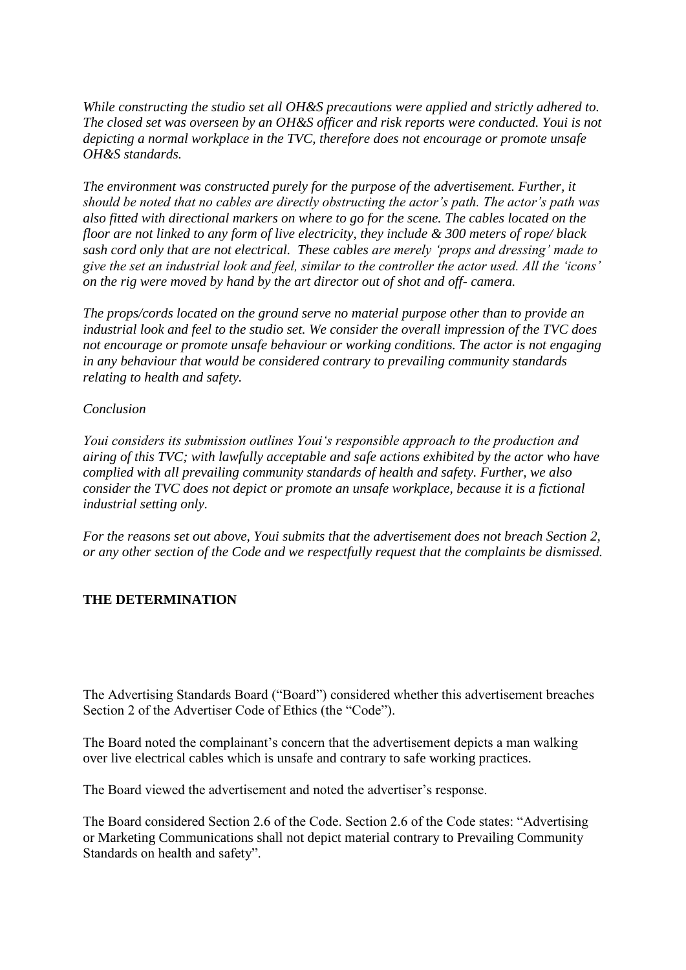*While constructing the studio set all OH&S precautions were applied and strictly adhered to. The closed set was overseen by an OH&S officer and risk reports were conducted. Youi is not depicting a normal workplace in the TVC, therefore does not encourage or promote unsafe OH&S standards.*

*The environment was constructed purely for the purpose of the advertisement. Further, it should be noted that no cables are directly obstructing the actor's path. The actor's path was also fitted with directional markers on where to go for the scene. The cables located on the floor are not linked to any form of live electricity, they include & 300 meters of rope/ black sash cord only that are not electrical. These cables are merely 'props and dressing' made to give the set an industrial look and feel, similar to the controller the actor used. All the 'icons' on the rig were moved by hand by the art director out of shot and off- camera.*

*The props/cords located on the ground serve no material purpose other than to provide an industrial look and feel to the studio set. We consider the overall impression of the TVC does not encourage or promote unsafe behaviour or working conditions. The actor is not engaging in any behaviour that would be considered contrary to prevailing community standards relating to health and safety.*

## *Conclusion*

*Youi considers its submission outlines Youi's responsible approach to the production and airing of this TVC; with lawfully acceptable and safe actions exhibited by the actor who have complied with all prevailing community standards of health and safety. Further, we also consider the TVC does not depict or promote an unsafe workplace, because it is a fictional industrial setting only.*

*For the reasons set out above, Youi submits that the advertisement does not breach Section 2, or any other section of the Code and we respectfully request that the complaints be dismissed.*

## **THE DETERMINATION**

The Advertising Standards Board ("Board") considered whether this advertisement breaches Section 2 of the Advertiser Code of Ethics (the "Code").

The Board noted the complainant's concern that the advertisement depicts a man walking over live electrical cables which is unsafe and contrary to safe working practices.

The Board viewed the advertisement and noted the advertiser's response.

The Board considered Section 2.6 of the Code. Section 2.6 of the Code states: "Advertising or Marketing Communications shall not depict material contrary to Prevailing Community Standards on health and safety".